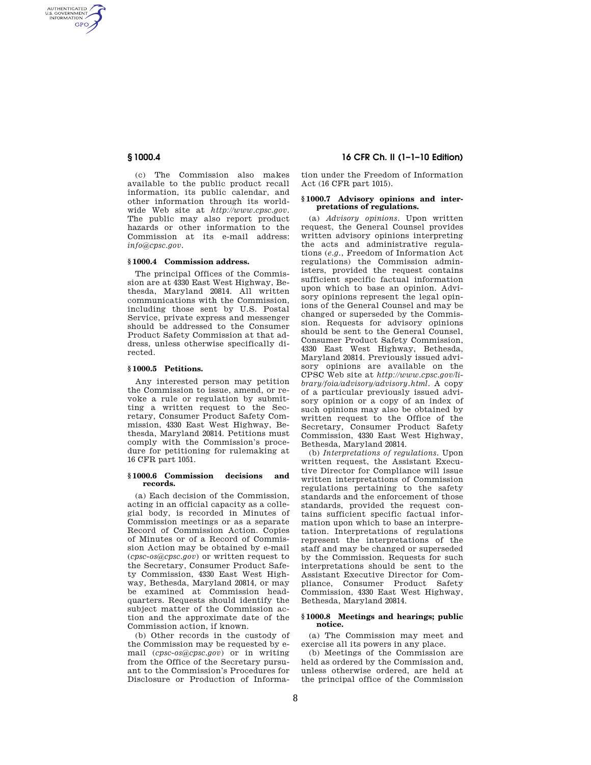AUTHENTICATED<br>U.S. GOVERNMENT<br>INFORMATION **GPO** 

> (c) The Commission also makes available to the public product recall information, its public calendar, and other information through its worldwide Web site at *http://www.cpsc.gov*. The public may also report product hazards or other information to the Commission at its e-mail address: *info@cpsc.gov*.

## **§ 1000.4 Commission address.**

The principal Offices of the Commission are at 4330 East West Highway, Bethesda, Maryland 20814. All written communications with the Commission, including those sent by U.S. Postal Service, private express and messenger should be addressed to the Consumer Product Safety Commission at that address, unless otherwise specifically directed.

## **§ 1000.5 Petitions.**

Any interested person may petition the Commission to issue, amend, or revoke a rule or regulation by submitting a written request to the Secretary, Consumer Product Safety Commission, 4330 East West Highway, Bethesda, Maryland 20814. Petitions must comply with the Commission's procedure for petitioning for rulemaking at 16 CFR part 1051.

## **§ 1000.6 Commission decisions and records.**

(a) Each decision of the Commission, acting in an official capacity as a collegial body, is recorded in Minutes of Commission meetings or as a separate Record of Commission Action. Copies of Minutes or of a Record of Commission Action may be obtained by e-mail (*cpsc-os@cpsc.gov*) or written request to the Secretary, Consumer Product Safety Commission, 4330 East West Highway, Bethesda, Maryland 20814, or may be examined at Commission headquarters. Requests should identify the subject matter of the Commission action and the approximate date of the Commission action, if known.

(b) Other records in the custody of the Commission may be requested by email (*cpsc-os@cpsc.gov*) or in writing from the Office of the Secretary pursuant to the Commission's Procedures for Disclosure or Production of Informa-

**§ 1000.4 16 CFR Ch. II (1–1–10 Edition)** 

tion under the Freedom of Information Act (16 CFR part 1015).

# **§ 1000.7 Advisory opinions and interpretations of regulations.**

(a) *Advisory opinions*. Upon written request, the General Counsel provides written advisory opinions interpreting the acts and administrative regulations (*e.g.*, Freedom of Information Act regulations) the Commission administers, provided the request contains sufficient specific factual information upon which to base an opinion. Advisory opinions represent the legal opinions of the General Counsel and may be changed or superseded by the Commission. Requests for advisory opinions should be sent to the General Counsel, Consumer Product Safety Commission, 4330 East West Highway, Bethesda, Maryland 20814. Previously issued advisory opinions are available on the CPSC Web site at *http://www.cpsc.gov/library/foia/advisory/advisory.html*. A copy of a particular previously issued advisory opinion or a copy of an index of such opinions may also be obtained by written request to the Office of the Secretary, Consumer Product Safety Commission, 4330 East West Highway, Bethesda, Maryland 20814.

(b) *Interpretations of regulations*. Upon written request, the Assistant Executive Director for Compliance will issue written interpretations of Commission regulations pertaining to the safety standards and the enforcement of those standards, provided the request contains sufficient specific factual information upon which to base an interpretation. Interpretations of regulations represent the interpretations of the staff and may be changed or superseded by the Commission. Requests for such interpretations should be sent to the Assistant Executive Director for Compliance, Consumer Product Safety Commission, 4330 East West Highway, Bethesda, Maryland 20814.

# **§ 1000.8 Meetings and hearings; public notice.**

(a) The Commission may meet and exercise all its powers in any place.

(b) Meetings of the Commission are held as ordered by the Commission and, unless otherwise ordered, are held at the principal office of the Commission